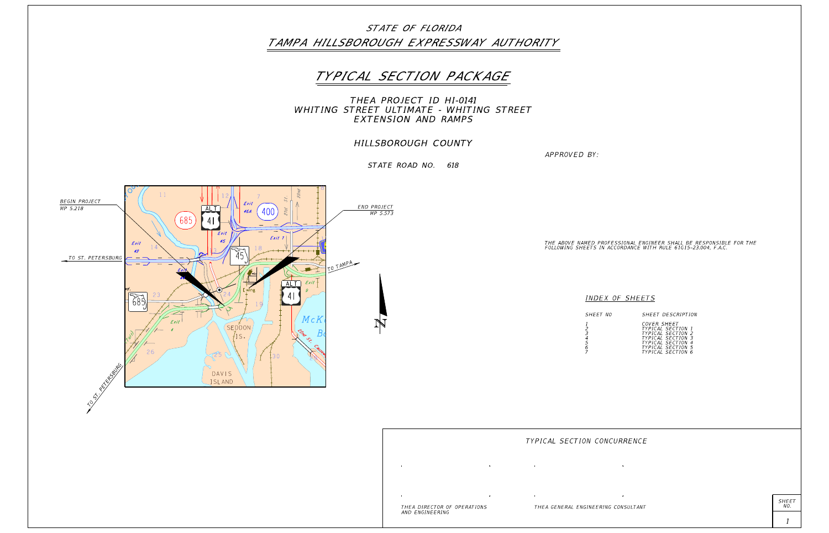

THE ABOVE NAMED PROFESSIONAL ENGINEER SHALL BE RESPONSIBLE FOR THE<br>FOLLOWING SHEETS IN ACCORDANCE WITH RULE 61G15-23.004, F.A.C.

| CUVER SHEET                 |                |
|-----------------------------|----------------|
| TYPICAL SECTION 1           |                |
| <i>TYPICAL SECTION</i>      | -2             |
| <b>SECTION 3</b><br>TYPICAL |                |
| SECTION<br>TYPICAL          | $\overline{A}$ |
| TYPICAL<br>SECTION 5        |                |
| TYPICAL SECTION 6           |                |
|                             |                |

SHEET<br>NO.

COVER SHEET SHEET DESCRIPTION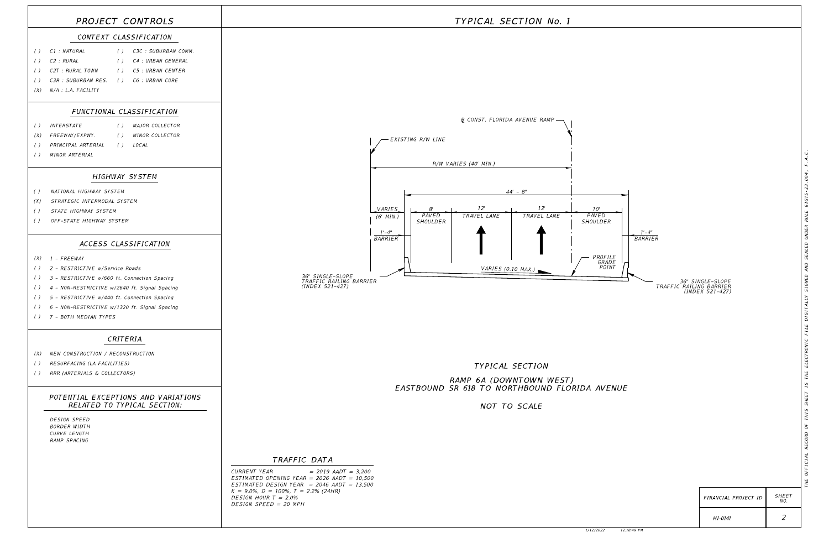### TRAFFIC DATA

DESIGN SPEED = 20 MPH DESIGN HOUR  $T = 2.0\%$  $K = 9.0\%$ ,  $D = 100\%$ ,  $T = 2.2\%$  (24HR)  $ESTIMATED DESIGN YEAR = 2046 AADT = 13,500$ ED OPENING YEAR = 2026 AADT = 10,500  $YEAR$  = 2019 AADT = 3,200

|                                               | PROJECT CONTROLS                                                   |                 |
|-----------------------------------------------|--------------------------------------------------------------------|-----------------|
|                                               | CONTEXT CLASSIFICATION                                             |                 |
| $\left( \quad \right)$                        | C1 : NATURAL<br>() C3C : SUBURBAN COMM.                            |                 |
| $\left( \right)$                              | C2 : RURAL<br>() C4 : URBAN GENERAL                                |                 |
| $\left( \right)$                              | C2T : RURAL TOWN<br>() C5:URBAN CENTER                             |                 |
| $\left( \right)$                              | C3R : SUBURBAN RES. ( ) C6 : URBAN CORE                            |                 |
| (X)                                           | $N/A$ : L.A. FACILITY                                              |                 |
|                                               | FUNCTIONAL CLASSIFICATION                                          |                 |
| $\left( \ \right)$                            | () MAJOR COLLECTOR<br><i>INTERSTATE</i>                            |                 |
| (X)                                           | FREEWAY/EXPWY.<br>() MINOR COLLECTOR                               |                 |
| $\left( \right)$                              | PRINCIPAL ARTERIAL () LOCAL                                        |                 |
| $\left( \ \right)$                            | MINOR ARTERIAL                                                     |                 |
|                                               | HIGHWAY SYSTEM                                                     |                 |
| $\left( \right)$                              | NATIONAL HIGHWAY SYSTEM                                            |                 |
| (X)                                           | STRATEGIC INTERMODAL SYSTEM                                        |                 |
| $\left( \right)$                              | STATE HIGHWAY SYSTEM                                               |                 |
| $\left( \right)$                              | OFF-STATE HIGHWAY SYSTEM                                           |                 |
|                                               | ACCESS CLASSIFICATION                                              |                 |
| (X)                                           | <i>1 - FREEWAY</i>                                                 |                 |
| $\left( \ \right)$                            | 2 - RESTRICTIVE w/Service Roads                                    |                 |
| $\left( \begin{array}{c} \end{array} \right)$ | 3 - RESTRICTIVE w/660 ft. Connection Spacing                       |                 |
| $\left( \right)$                              | 4 - NON-RESTRICTIVE w/2640 ft. Signal Spacing                      |                 |
| $\left( \right)$                              | 5 - RESTRICTIVE w/440 ft. Connection Spacing                       |                 |
| $\left( \quad \right)$                        | 6 - NON-RESTRICTIVE w/1320 ft. Signal Spacing                      |                 |
| $\left( \right)$                              | 7 - BOTH MEDIAN TYPES                                              |                 |
|                                               | CRITERIA                                                           |                 |
| (X)                                           | NEW CONSTRUCTION / RECONSTRUCTION                                  |                 |
| $\left( \quad \right)$                        | RESURFACING (LA FACILITIES)                                        |                 |
| $\left( \quad \right)$                        | RRR (ARTERIALS & COLLECTORS)                                       |                 |
|                                               | POTENTIAL EXCEPTIONS AND VARIATIONS<br>RELATED TO TYPICAL SECTION: |                 |
|                                               | DESIGN SPEED<br><b>BORDER WIDTH</b>                                |                 |
|                                               | CURVE LENGTH                                                       |                 |
|                                               | RAMP SPACING                                                       |                 |
|                                               |                                                                    |                 |
|                                               |                                                                    | CURRENT \       |
|                                               |                                                                    | <b>ESTIMATE</b> |

## TYPICAL SECTION No. 1



36" SINGLE-SLOPE<br>TRAFFIC RAILING BARRIER<br>(INDEX 521-427)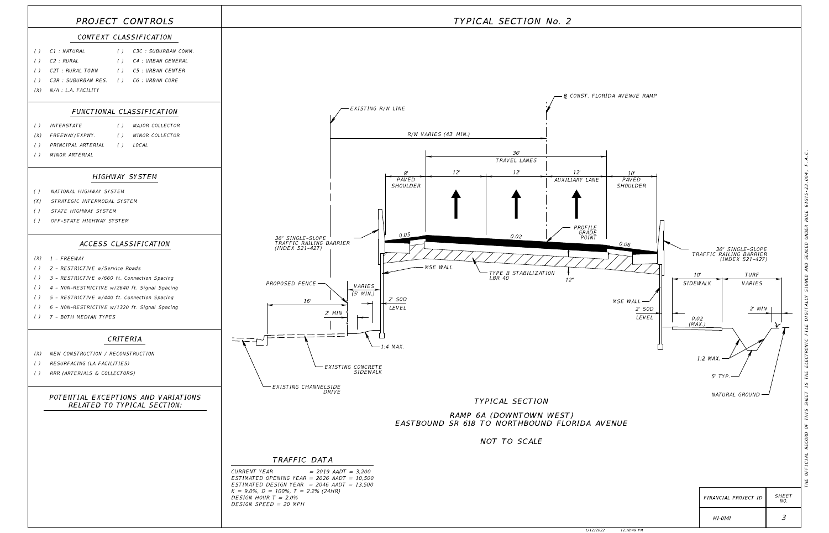THE OFFICIAL RECORD OF THIS SHEET IS THE ELECTRONIC FILE DIGITALLY SIGNED AND SEALED UNDER RULE 61G15-23.004, F.A.C.

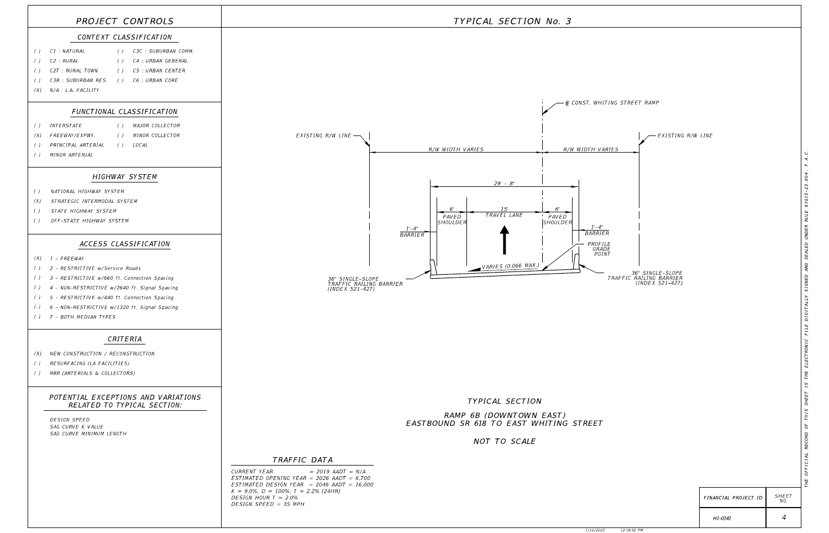### TRAFFIC DATA



DESIGN SPEED = 35 MPH DESIGN HOUR  $T = 2.0\%$  $K = 9.0\%$ ,  $D = 100\%$ ,  $T = 2.2\%$  (24HR) ESTIMATED DESIGN YEAR = 2046 AADT = 16,000 ESTIMATED OPENING YEAR = 2026 AADT = 6.700  $CURRENT YEAR$  = 2019 AADT = N/A

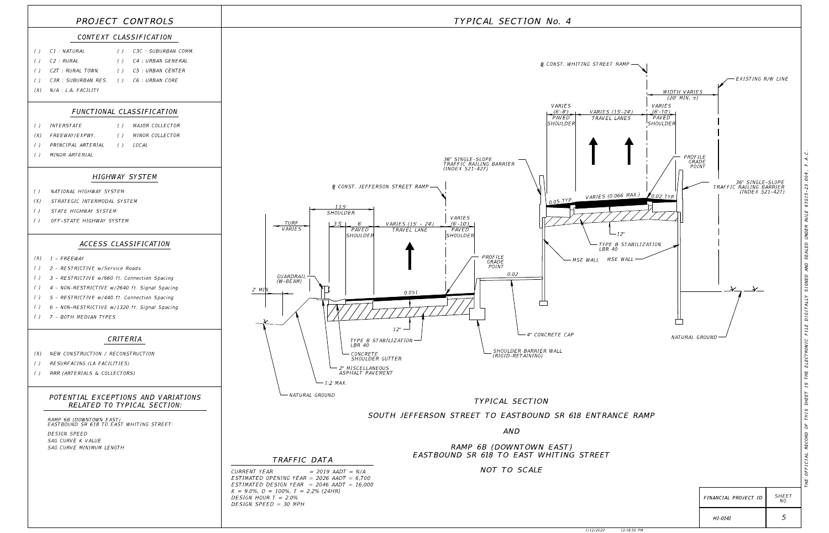

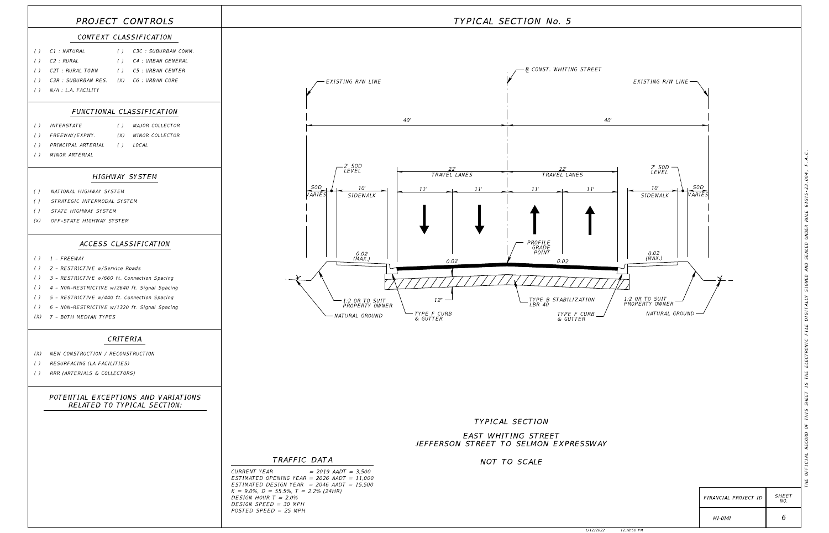